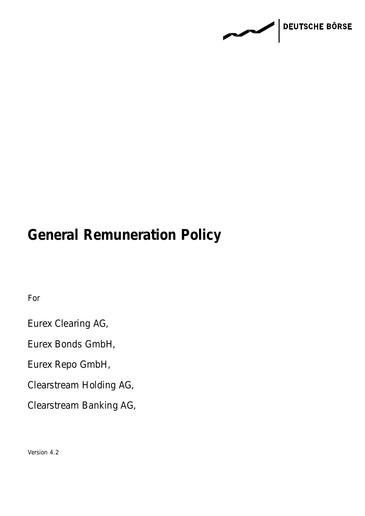**DEUTSCHE BÖRSE PARK** 

# **General Remuneration Policy**

For

Eurex Clearing AG,

Eurex Bonds GmbH,

Eurex Repo GmbH,

Clearstream Holding AG,

Clearstream Banking AG,

Version 4.2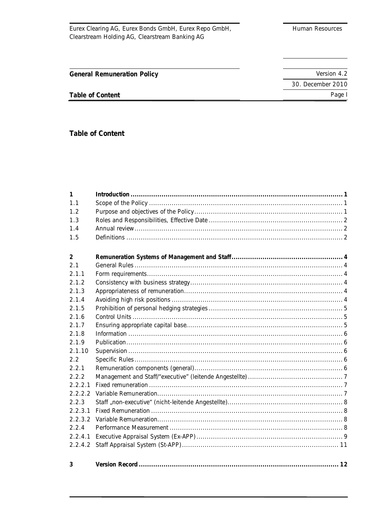Page I

30. December 2010

Table of Content

**General Remuneration Policy** 

Table of Content

| 1       |  |  |  |  |
|---------|--|--|--|--|
| 1.1     |  |  |  |  |
| 1.2     |  |  |  |  |
| 1.3     |  |  |  |  |
| 1.4     |  |  |  |  |
| 1.5     |  |  |  |  |
|         |  |  |  |  |
| 2       |  |  |  |  |
| 2.1     |  |  |  |  |
| 2.1.1   |  |  |  |  |
| 2.1.2   |  |  |  |  |
| 2.1.3   |  |  |  |  |
| 2.1.4   |  |  |  |  |
| 2.1.5   |  |  |  |  |
| 2.1.6   |  |  |  |  |
| 2.1.7   |  |  |  |  |
| 2.1.8   |  |  |  |  |
| 2.1.9   |  |  |  |  |
| 2.1.10  |  |  |  |  |
| 2.2     |  |  |  |  |
| 2.2.1   |  |  |  |  |
| 2.2.2   |  |  |  |  |
| 2.2.2.1 |  |  |  |  |
| 2.2.2.2 |  |  |  |  |
| 2.2.3   |  |  |  |  |
| 2.2.3.1 |  |  |  |  |
| 2.2.3.2 |  |  |  |  |
| 2.2.4   |  |  |  |  |
| 2.2.4.1 |  |  |  |  |
| 2.2.4.2 |  |  |  |  |
|         |  |  |  |  |
| 3       |  |  |  |  |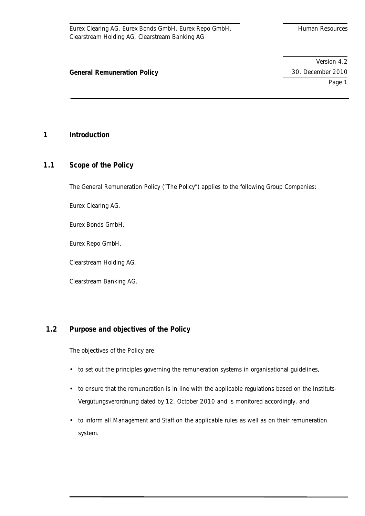Page 1

**General Remuneration Policy** 30. December 2010

# **1 Introduction**

# **1.1 Scope of the Policy**

The General Remuneration Policy ("The Policy") applies to the following Group Companies:

Eurex Clearing AG,

Eurex Bonds GmbH,

Eurex Repo GmbH,

Clearstream Holding AG,

Clearstream Banking AG,

# **1.2 Purpose and objectives of the Policy**

The objectives of the Policy are

- to set out the principles governing the remuneration systems in organisational guidelines,
- to ensure that the remuneration is in line with the applicable regulations based on the Instituts-Vergütungsverordnung dated by 12. October 2010 and is monitored accordingly, and
- to inform all Management and Staff on the applicable rules as well as on their remuneration system.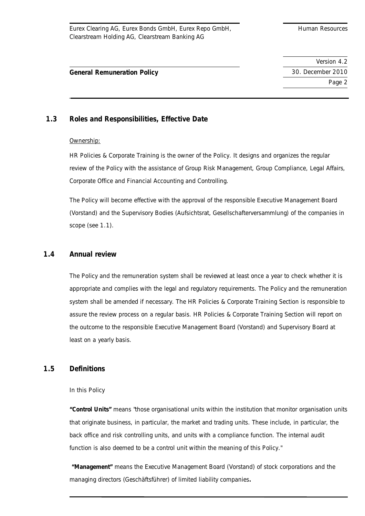# **General Remuneration Policy** 30. December 2010

# **1.3 Roles and Responsibilities, Effective Date**

### Ownership:

HR Policies & Corporate Training is the owner of the Policy. It designs and organizes the regular review of the Policy with the assistance of Group Risk Management, Group Compliance, Legal Affairs, Corporate Office and Financial Accounting and Controlling.

The Policy will become effective with the approval of the responsible Executive Management Board (Vorstand) and the Supervisory Bodies (Aufsichtsrat, Gesellschafterversammlung) of the companies in scope (see 1.1).

# **1.4 Annual review**

The Policy and the remuneration system shall be reviewed at least once a year to check whether it is appropriate and complies with the legal and regulatory requirements. The Policy and the remuneration system shall be amended if necessary. The HR Policies & Corporate Training Section is responsible to assure the review process on a regular basis. HR Policies & Corporate Training Section will report on the outcome to the responsible Executive Management Board (Vorstand) and Supervisory Board at least on a yearly basis.

# **1.5 Definitions**

### In this Policy

**"Control Units"** means "those organisational units within the institution that monitor organisation units that originate business, in particular, the market and trading units. These include, in particular, the back office and risk controlling units, and units with a compliance function. The internal audit function is also deemed to be a control unit within the meaning of this Policy."

**"Management"** means the Executive Management Board (Vorstand) of stock corporations and the managing directors (Geschäftsführer) of limited liability companies**.**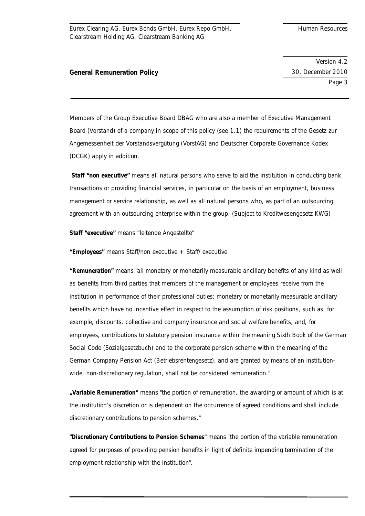**General Remuneration Policy** 30. December 2010

 Version 4.2 Page 3

Members of the Group Executive Board DBAG who are also a member of Executive Management Board (Vorstand) of a company in scope of this policy (see 1.1) the requirements of the Gesetz zur Angemessenheit der Vorstandsvergütung (VorstAG) and Deutscher Corporate Governance Kodex (DCGK) apply in addition.

**Staff "non executive"** means all natural persons who serve to aid the institution in conducting bank transactions or providing financial services, in particular on the basis of an employment, business management or service relationship, as well as all natural persons who, as part of an outsourcing agreement with an outsourcing enterprise within the group. (Subject to Kreditwesengesetz KWG)

**Staff "executive"** means "leitende Angestellte"

**"Employees"** means Staff/non executive + Staff/ executive

**"Remuneration"** means "all monetary or monetarily measurable ancillary benefits of any kind as well as benefits from third parties that members of the management or employees receive from the institution in performance of their professional duties; monetary or monetarily measurable ancillary benefits which have no incentive effect in respect to the assumption of risk positions, such as, for example, discounts, collective and company insurance and social welfare benefits, and, for employees, contributions to statutory pension insurance within the meaning Sixth Book of the German Social Code (Sozialgesetzbuch) and to the corporate pension scheme within the meaning of the German Company Pension Act (Betriebsrentengesetz), and are granted by means of an institutionwide, non-discretionary regulation, shall not be considered remuneration."

**"Variable Remuneration"** means "the portion of remuneration, the awarding or amount of which is at the institution's discretion or is dependent on the occurrence of agreed conditions and shall include discretionary contributions to pension schemes."

**"Discretionary Contributions to Pension Schemes"** means "the portion of the variable remuneration agreed for purposes of providing pension benefits in light of definite impending termination of the employment relationship with the institution".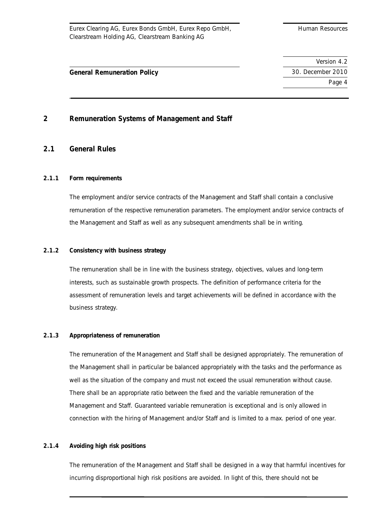Version 4.2

Page 4

# **General Remuneration Policy** 30. December 2010

# **2 Remuneration Systems of Management and Staff**

# **2.1 General Rules**

# **2.1.1 Form requirements**

The employment and/or service contracts of the Management and Staff shall contain a conclusive remuneration of the respective remuneration parameters. The employment and/or service contracts of the Management and Staff as well as any subsequent amendments shall be in writing.

### **2.1.2 Consistency with business strategy**

The remuneration shall be in line with the business strategy, objectives, values and long-term interests, such as sustainable growth prospects. The definition of performance criteria for the assessment of remuneration levels and target achievements will be defined in accordance with the business strategy.

### **2.1.3 Appropriateness of remuneration**

The remuneration of the Management and Staff shall be designed appropriately. The remuneration of the Management shall in particular be balanced appropriately with the tasks and the performance as well as the situation of the company and must not exceed the usual remuneration without cause. There shall be an appropriate ratio between the fixed and the variable remuneration of the Management and Staff. Guaranteed variable remuneration is exceptional and is only allowed in connection with the hiring of Management and/or Staff and is limited to a max. period of one year.

### **2.1.4 Avoiding high risk positions**

The remuneration of the Management and Staff shall be designed in a way that harmful incentives for incurring disproportional high risk positions are avoided. In light of this, there should not be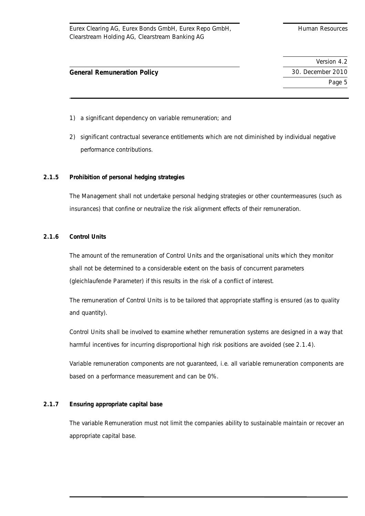Version 4.2 Page 5

# **General Remuneration Policy** 30. December 2010

- 1) a significant dependency on variable remuneration; and
- 2) significant contractual severance entitlements which are not diminished by individual negative performance contributions.

### **2.1.5 Prohibition of personal hedging strategies**

The Management shall not undertake personal hedging strategies or other countermeasures (such as insurances) that confine or neutralize the risk alignment effects of their remuneration.

### **2.1.6 Control Units**

The amount of the remuneration of Control Units and the organisational units which they monitor shall not be determined to a considerable extent on the basis of concurrent parameters (*gleichlaufende Parameter*) if this results in the risk of a conflict of interest.

The remuneration of Control Units is to be tailored that appropriate staffing is ensured (as to quality and quantity).

Control Units shall be involved to examine whether remuneration systems are designed in a way that harmful incentives for incurring disproportional high risk positions are avoided (see 2.1.4).

Variable remuneration components are not guaranteed, i.e. all variable remuneration components are based on a performance measurement and can be 0%.

### **2.1.7 Ensuring appropriate capital base**

The variable Remuneration must not limit the companies ability to sustainable maintain or recover an appropriate capital base.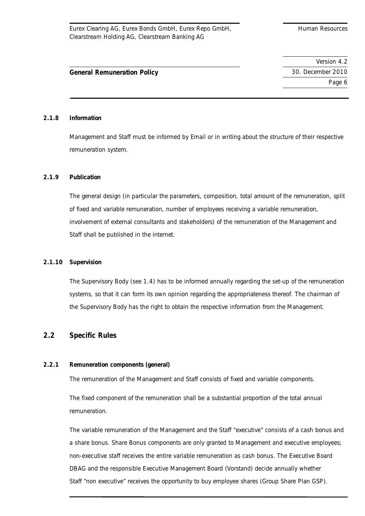# **General Remuneration Policy** 30. December 2010

#### **2.1.8 Information**

Management and Staff must be informed by Email or in writing about the structure of their respective remuneration system.

### **2.1.9 Publication**

The general design (in particular the parameters, composition, total amount of the remuneration, split of fixed and variable remuneration, number of employees receiving a variable remuneration, involvement of external consultants and stakeholders) of the remuneration of the Management and Staff shall be published in the internet.

### **2.1.10 Supervision**

The Supervisory Body (see 1.4) has to be informed annually regarding the set-up of the remuneration systems, so that it can form its own opinion regarding the appropriateness thereof. The chairman of the Supervisory Body has the right to obtain the respective information from the Management.

# **2.2 Specific Rules**

### **2.2.1 Remuneration components (general)**

The remuneration of the Management and Staff consists of fixed and variable components.

The fixed component of the remuneration shall be a substantial proportion of the total annual remuneration.

The variable remuneration of the Management and the Staff "executive" consists of a cash bonus and a share bonus. Share Bonus components are only granted to Management and executive employees; non-executive staff receives the entire variable remuneration as cash bonus. The Executive Board DBAG and the responsible Executive Management Board (Vorstand) decide annually whether Staff "non executive" receives the opportunity to buy employee shares (Group Share Plan GSP).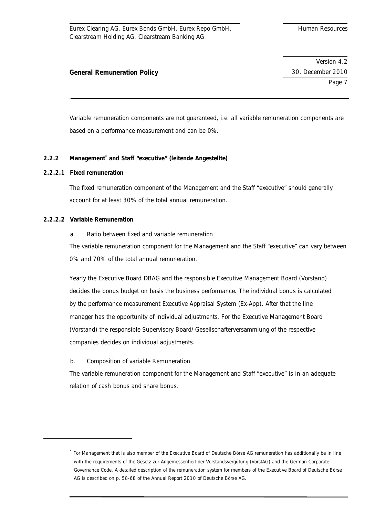# **General Remuneration Policy** 30. December 2010

Variable remuneration components are not guaranteed, i.e. all variable remuneration components are based on a performance measurement and can be 0%.

# **2.2.2 Management\* and Staff "executive" (leitende Angestellte)**

# **2.2.2.1 Fixed remuneration**

The fixed remuneration component of the Management and the Staff "executive" should generally account for at least 30% of the total annual remuneration.

### **2.2.2.2 Variable Remuneration**

a. Ratio between fixed and variable remuneration

The variable remuneration component for the Management and the Staff "executive" can vary between 0% and 70% of the total annual remuneration.

Yearly the Executive Board DBAG and the responsible Executive Management Board (Vorstand) decides the bonus budget on basis the business performance. The individual bonus is calculated by the performance measurement Executive Appraisal System (Ex-App). After that the line manager has the opportunity of individual adjustments. For the Executive Management Board (Vorstand) the responsible Supervisory Board/ Gesellschafterversammlung of the respective companies decides on individual adjustments.

### b. Composition of variable Remuneration

The variable remuneration component for the Management and Staff "executive" is in an adequate relation of cash bonus and share bonus.

<sup>\*</sup> For Management that is also member of the Executive Board of Deutsche Börse AG remuneration has additionally be in line with the requirements of the Gesetz zur Angemessenheit der Vorstandsvergütung (VorstAG) and the German Corporate Governance Code. A detailed description of the remuneration system for members of the Executive Board of Deutsche Börse AG is described on p. 58-68 of the Annual Report 2010 of Deutsche Börse AG.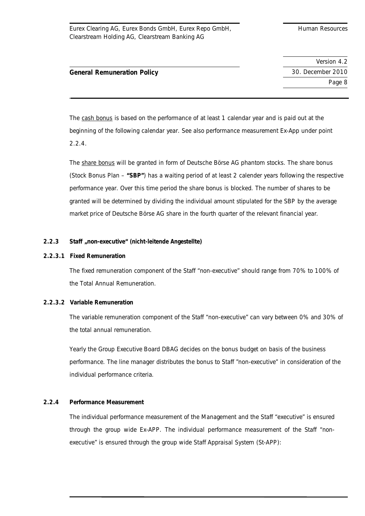# **General Remuneration Policy** 30. December 2010

The cash bonus is based on the performance of at least 1 calendar year and is paid out at the beginning of the following calendar year. See also performance measurement Ex-App under point 2.2.4.

The share bonus will be granted in form of Deutsche Börse AG phantom stocks. The share bonus (Stock Bonus Plan – **"SBP"**) has a waiting period of at least 2 calender years following the respective performance year. Over this time period the share bonus is blocked. The number of shares to be granted will be determined by dividing the individual amount stipulated for the SBP by the average market price of Deutsche Börse AG share in the fourth quarter of the relevant financial year.

# **2.2.3 Staff "non-executive"** *(nicht-leitende Angestellte)*

## **2.2.3.1 Fixed Remuneration**

The fixed remuneration component of the Staff "non-executive" should range from 70% to 100% of the Total Annual Remuneration.

### **2.2.3.2 Variable Remuneration**

The variable remuneration component of the Staff "non-executive" can vary between 0% and 30% of the total annual remuneration.

Yearly the Group Executive Board DBAG decides on the bonus budget on basis of the business performance. The line manager distributes the bonus to Staff "non-executive" in consideration of the individual performance criteria.

# **2.2.4 Performance Measurement**

The individual performance measurement of the Management and the Staff "executive" is ensured through the group wide Ex-APP. The individual performance measurement of the Staff "nonexecutive" is ensured through the group wide Staff Appraisal System (St-APP):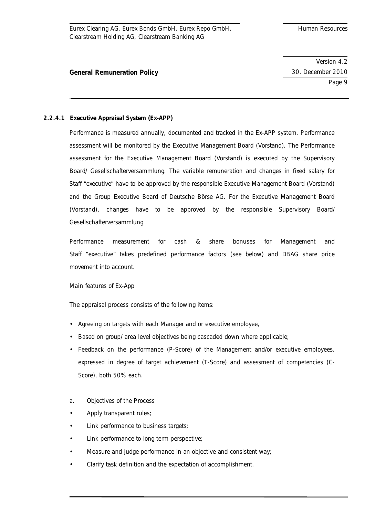Version 4.2 Page 9

# **General Remuneration Policy** 30. December 2010

# **2.2.4.1 Executive Appraisal System (Ex-APP)**

Performance is measured annually, documented and tracked in the Ex-APP system. Performance assessment will be monitored by the Executive Management Board (Vorstand). The Performance assessment for the Executive Management Board (Vorstand) is executed by the Supervisory Board/ Gesellschafterversammlung. The variable remuneration and changes in fixed salary for Staff "executive" have to be approved by the responsible Executive Management Board (Vorstand) and the Group Executive Board of Deutsche Börse AG. For the Executive Management Board (Vorstand), changes have to be approved by the responsible Supervisory Board/ Gesellschafterversammlung.

Performance measurement for cash & share bonuses for Management and Staff "executive" takes predefined performance factors (see below) and DBAG share price movement into account.

Main features of Ex-App

The appraisal process consists of the following items:

- Agreeing on targets with each Manager and or executive employee,
- Based on group/ area level objectives being cascaded down where applicable;
- Feedback on the performance (P-Score) of the Management and/or executive employees, expressed in degree of target achievement (T-Score) and assessment of competencies (C-Score), both 50% each.
- a. Objectives of the Process
- Apply transparent rules;
- Link performance to business targets;
- Link performance to long term perspective;
- Measure and judge performance in an objective and consistent way;
- Clarify task definition and the expectation of accomplishment.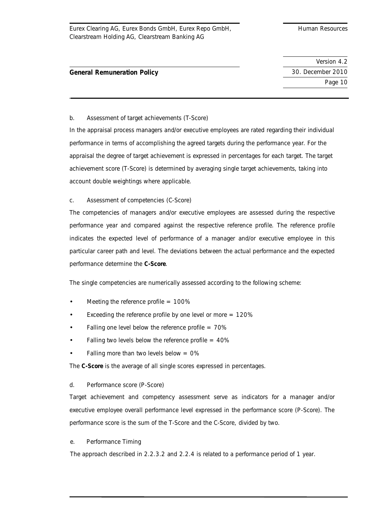Version 4.2 Page 10

# **General Remuneration Policy** 30. December 2010

## b. Assessment of target achievements (T-Score)

In the appraisal process managers and/or executive employees are rated regarding their individual performance in terms of accomplishing the agreed targets during the performance year. For the appraisal the degree of target achievement is expressed in percentages for each target. The target achievement score (T-Score) is determined by averaging single target achievements, taking into account double weightings where applicable.

# c. Assessment of competencies (C-Score)

The competencies of managers and/or executive employees are assessed during the respective performance year and compared against the respective reference profile. The reference profile indicates the expected level of performance of a manager and/or executive employee in this particular career path and level. The deviations between the actual performance and the expected performance determine the **C-Score**.

The single competencies are numerically assessed according to the following scheme:

- Meeting the reference profile  $= 100\%$
- Exceeding the reference profile by one level or more  $= 120\%$
- Falling one level below the reference profile  $= 70\%$
- Falling two levels below the reference profile  $= 40\%$
- Falling more than two levels below  $= 0\%$

The **C-Score** is the average of all single scores expressed in percentages.

### d. Performance score (P-Score)

Target achievement and competency assessment serve as indicators for a manager and/or executive employee overall performance level expressed in the performance score (P-Score). The performance score is the sum of the T-Score and the C-Score, divided by two.

### e. Performance Timing

The approach described in 2.2.3.2 and 2.2.4 is related to a performance period of 1 year.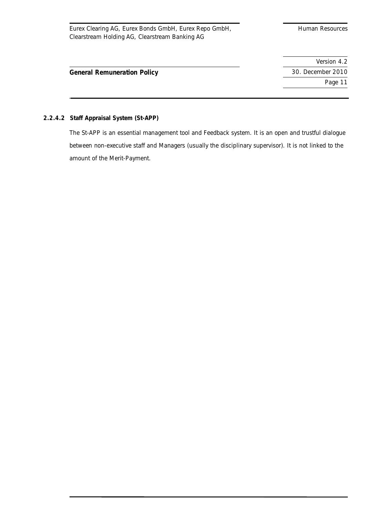Page 11

# **General Remuneration Policy** 30. December 2010

# **2.2.4.2 Staff Appraisal System (St-APP)**

The St-APP is an essential management tool and Feedback system. It is an open and trustful dialogue between non-executive staff and Managers (usually the disciplinary supervisor). It is not linked to the amount of the Merit-Payment.